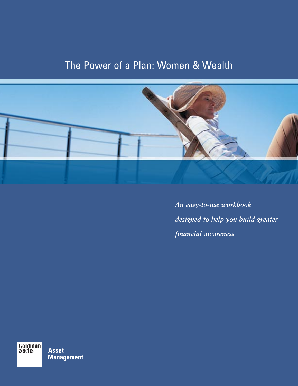# The Power of a Plan: Women & Wealth



*An easy-to-use workbook designed to help you build greater financial awareness*

Goldman<br>Sachs

**Asset Management**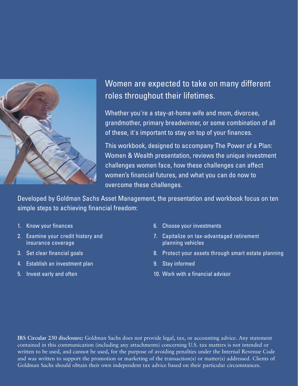

# Women are expected to take on many different roles throughout their lifetimes.

Whether you're a stay-at-home wife and mom, divorcee, grandmother, primary breadwinner, or some combination of all of these, it's important to stay on top of your finances.

This workbook, designed to accompany The Power of a Plan: Women & Wealth presentation, reviews the unique investment challenges women face, how these challenges can affect women's financial futures, and what you can do now to overcome these challenges.

Developed by Goldman Sachs Asset Management, the presentation and workbook focus on ten simple steps to achieving financial freedom:

- 1. Know your finances
- 2. Examine your credit history and insurance coverage
- 3. Set clear financial goals
- 4. Establish an investment plan
- 5. Invest early and often
- 6. Choose your investments
- 7. Capitalize on tax-advantaged retirement planning vehicles
- 8. Protect your assets through smart estate planning
- 9. Stay informed
- 10. Work with a financial advisor

**IRS Circular 230 disclosure:** Goldman Sachs does not provide legal, tax, or accounting advice. Any statement contained in this communication (including any attachments) concerning U.S. tax matters is not intended or written to be used, and cannot be used, for the purpose of avoiding penalties under the Internal Revenue Code and was written to support the promotion or marketing of the transaction(s) or matter(s) addressed. Clients of Goldman Sachs should obtain their own independent tax advice based on their particular circumstances.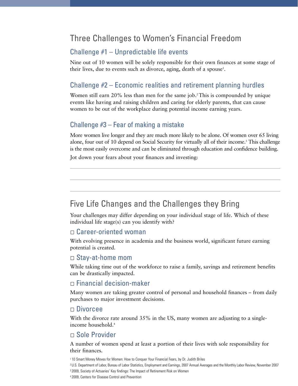# Three Challenges to Women's Financial Freedom

## Challenge #1 – Unpredictable life events

Nine out of 10 women will be solely responsible for their own finances at some stage of their lives, due to events such as divorce, aging, death of a spouse<sup>1</sup>.

## Challenge #2 – Economic realities and retirement planning hurdles

Women still earn  $20\%$  less than men for the same job.<sup>2</sup> This is compounded by unique events like having and raising children and caring for elderly parents, that can cause women to be out of the workplace during potential income earning years.

## Challenge #3 – Fear of making a mistake

More women live longer and they are much more likely to be alone. Of women over 65 living alone, four out of 10 depend on Social Security for virtually all of their income.<sup>3</sup> This challenge is the most easily overcome and can be eliminated through education and confidence building.

Jot down your fears about your finances and investing:

# Five Life Changes and the Challenges they Bring

Your challenges may differ depending on your individual stage of life. Which of these individual life stage(s) can you identify with?

### □ Career-oriented woman

With evolving presence in academia and the business world, significant future earning potential is created.

### Stay-at-home mom

While taking time out of the workforce to raise a family, savings and retirement benefits can be drastically impacted.

### $\Box$  Financial decision-maker

Many women are taking greater control of personal and household finances – from daily purchases to major investment decisions.

### Divorcee

With the divorce rate around 35% in the US, many women are adjusting to a singleincome household.4

## Sole Provider

A number of women spend at least a portion of their lives with sole responsibility for their finances.

1 10 Smart Money Moves for Women: How to Conquer Your Financial Fears, by Dr. Judith Briles

2 U.S. Department of Labor, Bureau of Labor Statistics, Employment and Earnings, 2007 Annual Averages and the Monthly Labor Review, November 2007

3 2009, Society of Actuaries' Key findings: The Impact of Retirement Risk on Women

4 2009, Centers for Disease Control and Prevention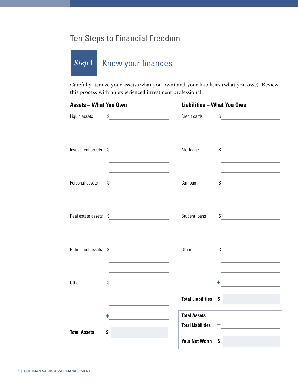# Ten Steps to Financial Freedom

#### Know your finances *Step1*

Carefully itemize your assets (what you own) and your liabilities (what you owe). Review this process with an experienced investment professional.

| <b>Assets - What You Own</b> |                                                                       | <b>Liabilities - What You Owe</b>               |                                                                                           |
|------------------------------|-----------------------------------------------------------------------|-------------------------------------------------|-------------------------------------------------------------------------------------------|
| Liquid assets                | \$<br><u> 1980 - Johann Barbara, martxa a</u>                         | Credit cards                                    | \$<br><u> 1980 - Jan Barbara Barat, martin d</u>                                          |
| Investment assets            | $\frac{1}{2}$                                                         | Mortgage                                        | $\frac{1}{2}$                                                                             |
| Personal assets              | \$<br><u> 1980 - Johann Barn, mars an t-Amerikaansk kommunister (</u> | Car Ioan                                        | <u> 1989 - Johann Barbara, martxa a</u><br>\$<br><u> 1980 - Johann Barbara, martxa al</u> |
| Real estate assets           | $\frac{1}{2}$                                                         | Student loans                                   | $\int$                                                                                    |
| Retirement assets            | \$                                                                    | Other                                           | $\int$                                                                                    |
| Other                        | \$<br><u> 1989 - Johann Barbara, martxa al</u>                        |                                                 | ÷<br><u> 1980 - Andrea Andrew Maria (b. 19</u>                                            |
|                              |                                                                       | <b>Total Liabilities</b>                        | \$                                                                                        |
| <b>Total Assets</b>          | ÷<br>S                                                                | <b>Total Assets</b><br><b>Total Liabilities</b> | <u> 1989 - Johann Barbara, martin a</u>                                                   |
|                              |                                                                       | <b>Your Net Worth</b>                           | S                                                                                         |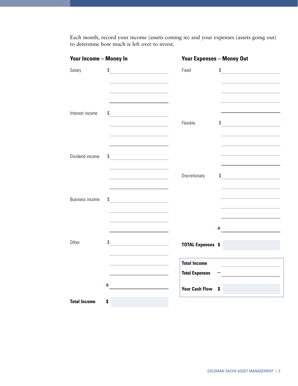Each month, record your income (assets coming in) and your expenses (assets going out) to determine how much is left over to invest.

| <b>Your Income - Money In</b> |                                               | <b>Your Expenses - Money Out</b>             |                                                                                                                            |
|-------------------------------|-----------------------------------------------|----------------------------------------------|----------------------------------------------------------------------------------------------------------------------------|
| Salary                        | \$                                            | Fixed                                        | \$<br><u> 1990 - John Stein, mars and de la politica de la politica de la politica de la politica de la politica de la</u> |
| Interest income               | \$<br><u> 1980 - Johann Barbara, martxa a</u> | Flexible                                     | \$<br><u> 1980 - Jan Barbara Barbara, manazarta </u>                                                                       |
| Dividend income               | \$                                            | Discretionary                                | $\int$                                                                                                                     |
| <b>Business income</b>        | \$                                            |                                              | ÷.<br><u> 1989 - Johann John Stone, mars et al.</u>                                                                        |
| Other                         | \$                                            | <b>TOTAL Expenses \$</b>                     |                                                                                                                            |
|                               |                                               | <b>Total Income</b><br><b>Total Expenses</b> | <u> 1989 - Johann Barbara, martin amerikan ba</u>                                                                          |
| <b>Total Income</b>           | ٠<br>\$                                       | <b>Your Cash Flow</b><br>\$                  |                                                                                                                            |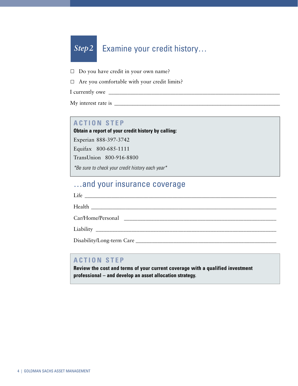#### Examine your credit history… *Step2*

 $\Box$  Do you have credit in your own name?

 $\Box$  Are you comfortable with your credit limits?

I currently owe \_\_\_\_\_\_\_\_\_\_\_\_\_\_\_\_\_\_\_\_\_\_\_\_\_\_\_\_\_\_\_\_\_\_\_\_\_\_\_\_\_\_\_\_\_\_\_\_\_\_\_\_\_\_\_\_\_\_\_\_\_\_\_\_

My interest rate is \_\_\_\_\_\_\_\_\_\_\_\_\_\_\_\_\_\_\_\_\_\_\_\_\_\_\_\_\_\_\_\_\_\_\_\_\_\_\_\_\_\_\_\_\_\_\_\_\_\_\_\_\_\_\_\_\_\_\_\_\_\_\_\_

## **ACTION STEP**

**Obtain a report of your credit history by calling:**

Experian 888-397-3742

Equifax 800-685-1111

TransUnion 800-916-8800

\*Be sure to check your credit history each year\*

# …and your insurance coverage

Life \_\_\_\_\_\_\_\_\_\_\_\_\_\_\_\_\_\_\_\_\_\_\_\_\_\_\_\_\_\_\_\_\_\_\_\_\_\_\_\_\_\_\_\_\_\_\_\_\_\_\_\_\_\_\_\_\_\_\_\_\_\_\_\_\_\_\_\_\_\_\_\_

Health \_\_\_\_\_\_\_\_\_\_\_\_\_\_\_\_\_\_\_\_\_\_\_\_\_\_\_\_\_\_\_\_\_\_\_\_\_\_\_\_\_\_\_\_\_\_\_\_\_\_\_\_\_\_\_\_\_\_\_\_\_\_\_\_\_\_\_\_\_\_

Car/Home/Personal \_\_\_\_\_\_\_\_\_\_\_\_\_\_\_\_\_\_\_\_\_\_\_\_\_\_\_\_\_\_\_\_\_\_\_\_\_\_\_\_\_\_\_\_\_\_\_\_\_\_\_\_\_\_\_\_

Liability \_\_\_\_\_\_\_\_\_\_\_\_\_\_\_\_\_\_\_\_\_\_\_\_\_\_\_\_\_\_\_\_\_\_\_\_\_\_\_\_\_\_\_\_\_\_\_\_\_\_\_\_\_\_\_\_\_\_\_\_\_\_\_\_\_\_

Disability/Long-term Care \_\_\_\_\_\_\_\_\_\_\_\_\_\_\_\_\_\_\_\_\_\_\_\_\_\_\_\_\_\_\_\_\_\_\_\_\_\_\_\_\_\_\_\_\_\_\_\_\_\_\_\_

## **ACTION STEP**

**Review the cost and terms of your current coverage with a qualified investment professional – and develop an asset allocation strategy.**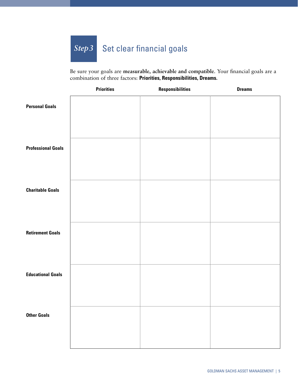#### Set clear financial goals *Step3*

Be sure your goals are **measurable, achievable and compatible**. Your financial goals are a combination of three factors: **Priorities, Responsibilities, Dreams.** 

|                           | <b>Priorities</b> | <b>Responsibilities</b> | <b>Dreams</b> |
|---------------------------|-------------------|-------------------------|---------------|
| <b>Personal Goals</b>     |                   |                         |               |
| <b>Professional Goals</b> |                   |                         |               |
| <b>Charitable Goals</b>   |                   |                         |               |
| <b>Retirement Goals</b>   |                   |                         |               |
| <b>Educational Goals</b>  |                   |                         |               |
| <b>Other Goals</b>        |                   |                         |               |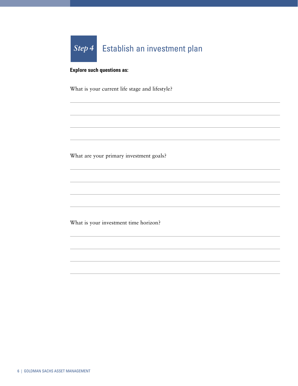

### **Explore such questions as:**

What is your current life stage and lifestyle?

What are your primary investment goals?

What is your investment time horizon?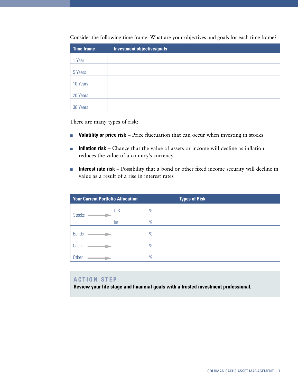| <b>Time frame</b> | <b>Investment objective/goals</b> |
|-------------------|-----------------------------------|
| 1 Year            |                                   |
| 5 Years           |                                   |
|                   |                                   |
| 10 Years          |                                   |
| 20 Years          |                                   |
| 30 Years          |                                   |

Consider the following time frame. What are your objectives and goals for each time frame?

There are many types of risk:

- -**Volatility or price risk** – Price fluctuation that can occur when investing in stocks
- - **Inflation risk** – Chance that the value of assets or income will decline as inflation reduces the value of a country's currency
- - **Interest rate risk** – Possibility that a bond or other fixed income security will decline in value as a result of a rise in interest rates

| <b>Your Current Portfolio Allocation</b> |               | <b>Types of Risk</b> |
|------------------------------------------|---------------|----------------------|
| U.S.                                     | $\frac{0}{0}$ |                      |
|                                          |               |                      |
|                                          |               |                      |
|                                          | $\frac{0}{0}$ |                      |
|                                          | $\frac{0}{0}$ |                      |
|                                          | $\frac{0}{0}$ |                      |
|                                          | Int           | $\frac{0}{0}$        |

### **ACTION STEP**

**Review your life stage and financial goals with a trusted investment professional.**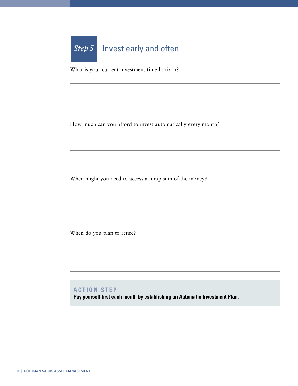

What is your current investment time horizon?

How much can you afford to invest automatically every month?

When might you need to access a lump sum of the money?

When do you plan to retire?

## **ACTION STEP**

**Pay yourself first each month by establishing an Automatic Investment Plan.**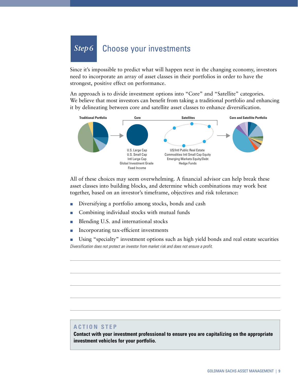#### Choose your investments *Step6*

Since it's impossible to predict what will happen next in the changing economy, investors need to incorporate an array of asset classes in their portfolios in order to have the strongest, positive effect on performance.

An approach is to divide investment options into "Core" and "Satellite" categories. We believe that most investors can benefit from taking a traditional portfolio and enhancing it by delineating between core and satellite asset classes to enhance diversification.



All of these choices may seem overwhelming. A financial advisor can help break these asset classes into building blocks, and determine which combinations may work best together, based on an investor's timeframe, objectives and risk tolerance:

- -Diversifying a portfolio among stocks, bonds and cash
- -Combining individual stocks with mutual funds
- -Blending U.S. and international stocks
- -Incorporating tax-efficient investments

- Using "specialty" investment options such as high yield bonds and real estate securities Diversification does not protect an investor from market risk and does not ensure a profit.

### **ACTION STEP**

**Contact with your investment professional to ensure you are capitalizing on the appropriate investment vehicles for your portfolio.**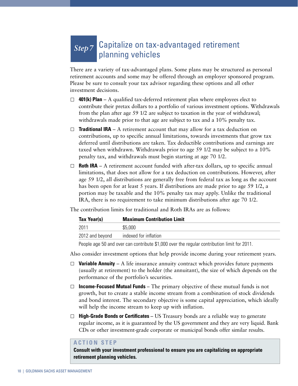# *Step7* Capitalize on tax-advantaged retirement planning vehicles

There are a variety of tax-advantaged plans. Some plans may be structured as personal retirement accounts and some may be offered through an employer sponsored program. Please be sure to consult your tax advisor regarding these options and all other investment decisions.

- $\Box$  **401(k) Plan** A qualified tax-deferred retirement plan where employees elect to contribute their pretax dollars to a portfolio of various investment options. Withdrawals from the plan after age 59 1/2 are subject to taxation in the year of withdrawal; withdrawals made prior to that age are subject to tax and a 10% penalty tax.
- **Traditional IRA** A retirement account that may allow for a tax deduction on contributions, up to specific annual limitations, towards investments that grow tax deferred until distributions are taken. Tax deductible contributions and earnings are taxed when withdrawn. Withdrawals prior to age 59 1/2 may be subject to a 10% penalty tax, and withdrawals must begin starting at age 70 1/2.
- $\Box$  **Roth IRA** A retirement account funded with after-tax dollars, up to specific annual limitations, that does not allow for a tax deduction on contributions. However, after age 59 1/2, all distributions are generally free from federal tax as long as the account has been open for at least 5 years. If distributions are made prior to age 59 1/2, a portion may be taxable and the 10% penalty tax may apply. Unlike the traditional IRA, there is no requirement to take minimum distributions after age 70 1/2.

The contribution limits for traditional and Roth IRAs are as follows:

| Tax Year(s)<br><b>Maximum Contribution Limit</b> |                       |
|--------------------------------------------------|-----------------------|
| 2011                                             | \$5,000               |
| 2012 and beyond                                  | indexed for inflation |

People age 50 and over can contribute \$1,000 over the regular contribution limit for 2011.

Also consider investment options that help provide income during your retirement years.

- $\Box$  **Variable Annuity** A life insurance annuity contract which provides future payments (usually at retirement) to the holder (the annuitant), the size of which depends on the performance of the portfolio's securities.
- **Income-Focused Mutual Funds**  The primary objective of these mutual funds is not growth, but to create a stable income stream from a combination of stock dividends and bond interest. The secondary objective is some capital appreciation, which ideally will help the income stream to keep up with inflation.
- □ **High-Grade Bonds or Certificates** US Treasury bonds are a reliable way to generate regular income, as it is guaranteed by the US government and they are very liquid. Bank CDs or other investment-grade corporate or municipal bonds offer similar results.

#### **ACTION STEP**

**Consult with your investment professional to ensure you are capitalizing on appropriate retirement planning vehicles.**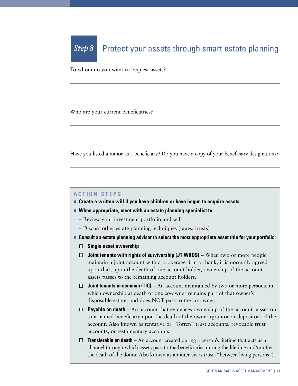#### Protect your assets through smart estate planning *Step 8*

To whom do you want to bequest assets?

Who are your current beneficiaries?

Have you listed a minor as a beneficiary? Do you have a copy of your beneficiary designations?

#### **ACTION STEPS**

- **Create a written will if you have children or have begun to acquire assets**
- **When appropriate, meet with an estate planning specialist to:** 
	- Review your investment portfolio and will
	- Discuss other estate planning techniques (taxes, trusts)
- **Example 2 Consult an estate planning advisor to select the most appropriate asset title for your portfolio:** 
	- **Single asset ownership**
	- **Joint tenants with rights of survivorship (JT WROS)** When two or more people maintain a joint account with a brokerage firm or bank, it is normally agreed upon that, upon the death of one account holder, ownership of the account assets passes to the remaining account holders.
	- $\Box$  **Joint tenants in common (TIC)** An account maintained by two or more persons, in which ownership at death of one co-owner remains part of that owner's disposable estate, and does NOT pass to the co-owner.
	- **Payable on death** An account that evidences ownership of the account passes on to a named beneficiary upon the death of the owner (grantor or depositor) of the account. Also known as tentative or "Totten" trust accounts, revocable trust accounts, or testamentary accounts.
	- □ **Transferable on death** An account created during a person's lifetime that acts as a channel through which assets pass to the beneficiaries during the lifetime and/or after the death of the donor. Also known as an inter vivos trust ("between living persons").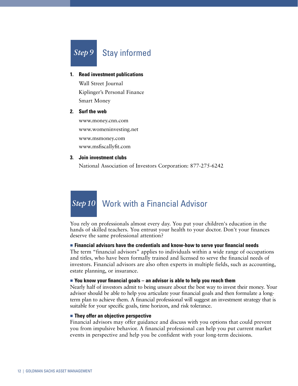

- **1. Read investment publications** Wall Street Journal Kiplinger's Personal Finance Smart Money
- **2. Surf the web**

www.money.cnn.com www.womeninvesting.net www.msmoney.com www.msfiscallyfit.com

#### **3. Join investment clubs**

National Association of Investors Corporation: 877-275-6242

# Work with a Financial Advisor *Step10*

You rely on professionals almost every day. You put your children's education in the hands of skilled teachers. You entrust your health to your doctor. Don't your finances deserve the same professional attention?

#### **Example 1 A** Financial advisors have the credentials and know-how to serve your financial needs

The term "financial advisors" applies to individuals within a wide range of occupations and titles, who have been formally trained and licensed to serve the financial needs of investors. Financial advisors are also often experts in multiple fields, such as accounting, estate planning, or insurance.

#### **Example 1** You know your financial goals – an advisor is able to help you reach them

Nearly half of investors admit to being unsure about the best way to invest their money. Your advisor should be able to help you articulate your financial goals and then formulate a longterm plan to achieve them. A financial professional will suggest an investment strategy that is suitable for your specific goals, time horizon, and risk tolerance.

#### **Example They offer an objective perspective**

Financial advisors may offer guidance and discuss with you options that could prevent you from impulsive behavior. A financial professional can help you put current market events in perspective and help you be confident with your long-term decisions.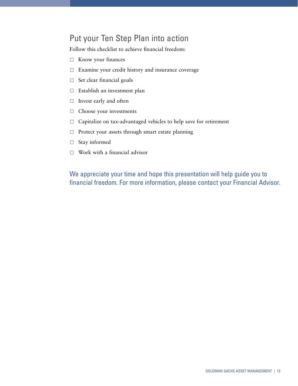# Put your Ten Step Plan into action

Follow this checklist to achieve financial freedom:

- $\Box$  Know your finances
- $\Box$  Examine your credit history and insurance coverage
- $\Box$  Set clear financial goals
- $\Box$  Establish an investment plan
- $\Box$  Invest early and often
- $\Box$  Choose your investments
- $\Box$  Capitalize on tax-advantaged vehicles to help save for retirement
- $\Box$  Protect your assets through smart estate planning
- $\Box$  Stay informed
- $\Box$  Work with a financial advisor

We appreciate your time and hope this presentation will help guide you to financial freedom. For more information, please contact your Financial Advisor.